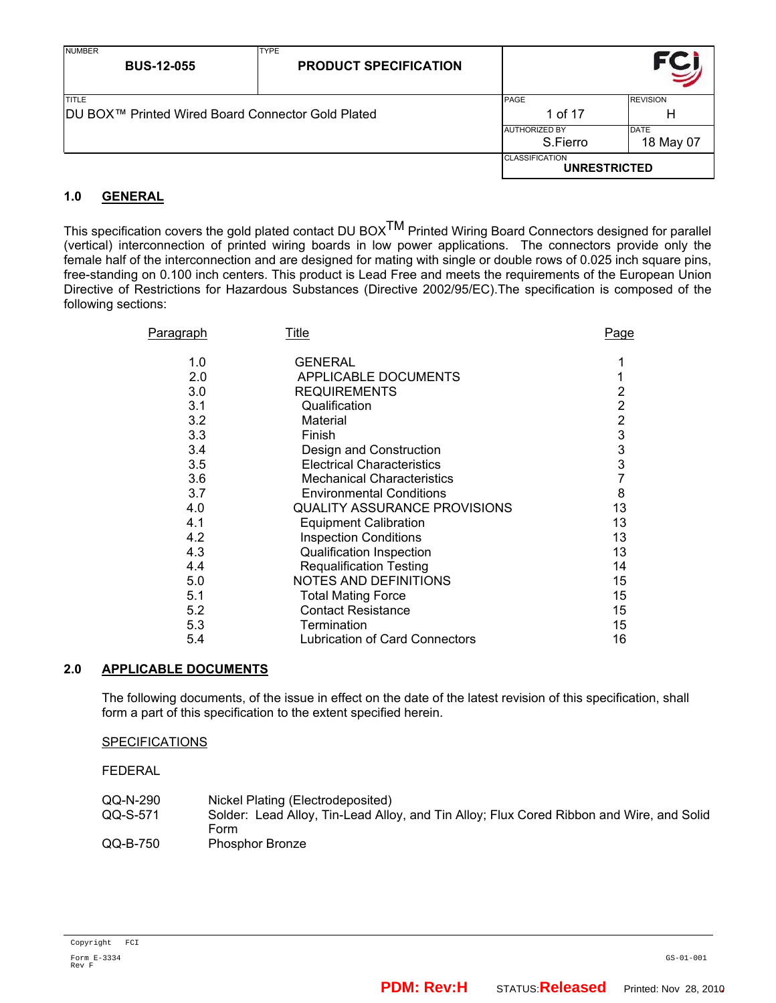| <b>NUMBER</b><br><b>BUS-12-055</b>                                 | <b>TYPE</b><br><b>PRODUCT SPECIFICATION</b> |                                              |                          |
|--------------------------------------------------------------------|---------------------------------------------|----------------------------------------------|--------------------------|
| <b>TITLE</b><br> DU BOX™ Printed Wired Board Connector Gold Plated |                                             | <b>PAGE</b><br>1 of 17                       | <b>REVISION</b><br>Н     |
|                                                                    |                                             | <b>AUTHORIZED BY</b><br>S.Fierro             | <b>DATE</b><br>18 May 07 |
|                                                                    |                                             | <b>CLASSIFICATION</b><br><b>UNRESTRICTED</b> |                          |

## **1.0 GENERAL**

This specification covers the gold plated contact DU BOX<sup>TM</sup> Printed Wiring Board Connectors designed for parallel (vertical) interconnection of printed wiring boards in low power applications. The connectors provide only the female half of the interconnection and are designed for mating with single or double rows of 0.025 inch square pins, free-standing on 0.100 inch centers. This product is Lead Free and meets the requirements of the European Union Directive of Restrictions for Hazardous Substances (Directive 2002/95/EC).The specification is composed of the following sections:

| Paragraph | Title                               | Page           |
|-----------|-------------------------------------|----------------|
| 1.0       | <b>GENERAL</b>                      |                |
| 2.0       | APPLICABLE DOCUMENTS                |                |
| 3.0       | <b>REQUIREMENTS</b>                 | 2              |
| 3.1       | Qualification                       | $\overline{2}$ |
| 3.2       | Material                            | $\overline{2}$ |
| 3.3       | Finish                              | $\frac{3}{3}$  |
| 3.4       | Design and Construction             |                |
| 3.5       | <b>Electrical Characteristics</b>   | 3              |
| 3.6       | <b>Mechanical Characteristics</b>   | 7              |
| 3.7       | <b>Environmental Conditions</b>     | 8              |
| 4.0       | <b>QUALITY ASSURANCE PROVISIONS</b> | 13             |
| 4.1       | <b>Equipment Calibration</b>        | 13             |
| 4.2       | <b>Inspection Conditions</b>        | 13             |
| 4.3       | Qualification Inspection            | 13             |
| 4.4       | <b>Requalification Testing</b>      | 14             |
| 5.0       | <b>NOTES AND DEFINITIONS</b>        | 15             |
| 5.1       | <b>Total Mating Force</b>           | 15             |
| 5.2       | <b>Contact Resistance</b>           | 15             |
| 5.3       | Termination                         | 15             |
| 5.4       | Lubrication of Card Connectors      | 16             |

## **2.0 APPLICABLE DOCUMENTS**

The following documents, of the issue in effect on the date of the latest revision of this specification, shall form a part of this specification to the extent specified herein.

## **SPECIFICATIONS**

FEDERAL

| QQ-N-290 | Nickel Plating (Electrodeposited)                                                        |
|----------|------------------------------------------------------------------------------------------|
| QQ-S-571 | Solder: Lead Alloy, Tin-Lead Alloy, and Tin Alloy; Flux Cored Ribbon and Wire, and Solid |
|          | Form                                                                                     |
| QQ-B-750 | <b>Phosphor Bronze</b>                                                                   |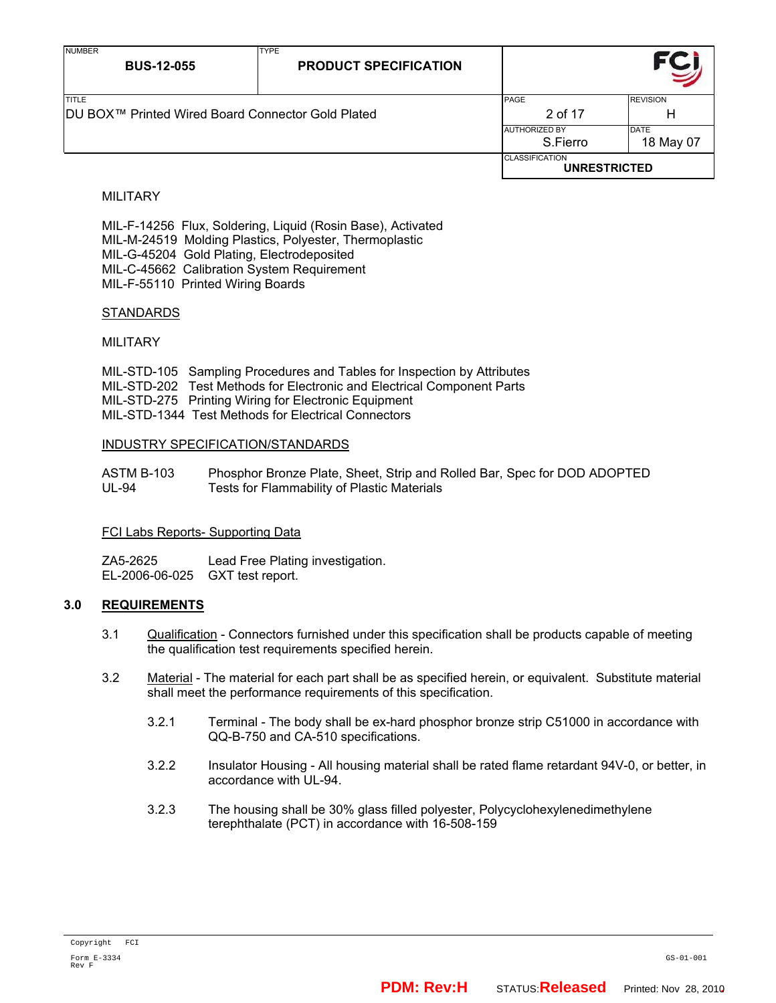| <b>NUMBER</b><br><b>BUS-12-055</b>                | <b>TYPE</b><br><b>PRODUCT SPECIFICATION</b> |                                              |                 |
|---------------------------------------------------|---------------------------------------------|----------------------------------------------|-----------------|
| <b>TITLE</b>                                      |                                             | PAGE                                         | <b>REVISION</b> |
| DU BOX™ Printed Wired Board Connector Gold Plated |                                             | 2 of 17                                      | н               |
|                                                   |                                             | <b>AUTHORIZED BY</b>                         | <b>DATE</b>     |
|                                                   |                                             | S.Fierro                                     | 18 May 07       |
|                                                   |                                             | <b>CLASSIFICATION</b><br><b>UNRESTRICTED</b> |                 |

## MILITARY

 MIL-F-14256 Flux, Soldering, Liquid (Rosin Base), Activated MIL-M-24519 Molding Plastics, Polyester, Thermoplastic MIL-G-45204 Gold Plating, Electrodeposited MIL-C-45662 Calibration System Requirement MIL-F-55110 Printed Wiring Boards

## STANDARDS

## MILITARY

 MIL-STD-105 Sampling Procedures and Tables for Inspection by Attributes MIL-STD-202 Test Methods for Electronic and Electrical Component Parts MIL-STD-275 Printing Wiring for Electronic Equipment MIL-STD-1344 Test Methods for Electrical Connectors

## INDUSTRY SPECIFICATION/STANDARDS

| ASTM B-103 | Phosphor Bronze Plate, Sheet, Strip and Rolled Bar, Spec for DOD ADOPTED |
|------------|--------------------------------------------------------------------------|
| UL-94      | Tests for Flammability of Plastic Materials                              |

## FCI Labs Reports- Supporting Data

 ZA5-2625 Lead Free Plating investigation. EL-2006-06-025 GXT test report.

## **3.0 REQUIREMENTS**

- 3.1 Qualification Connectors furnished under this specification shall be products capable of meeting the qualification test requirements specified herein.
- 3.2 Material The material for each part shall be as specified herein, or equivalent. Substitute material shall meet the performance requirements of this specification.
	- 3.2.1 Terminal The body shall be ex-hard phosphor bronze strip C51000 in accordance with QQ-B-750 and CA-510 specifications.
	- 3.2.2 Insulator Housing All housing material shall be rated flame retardant 94V-0, or better, in accordance with UL-94.
	- 3.2.3 The housing shall be 30% glass filled polyester, Polycyclohexylenedimethylene terephthalate (PCT) in accordance with 16-508-159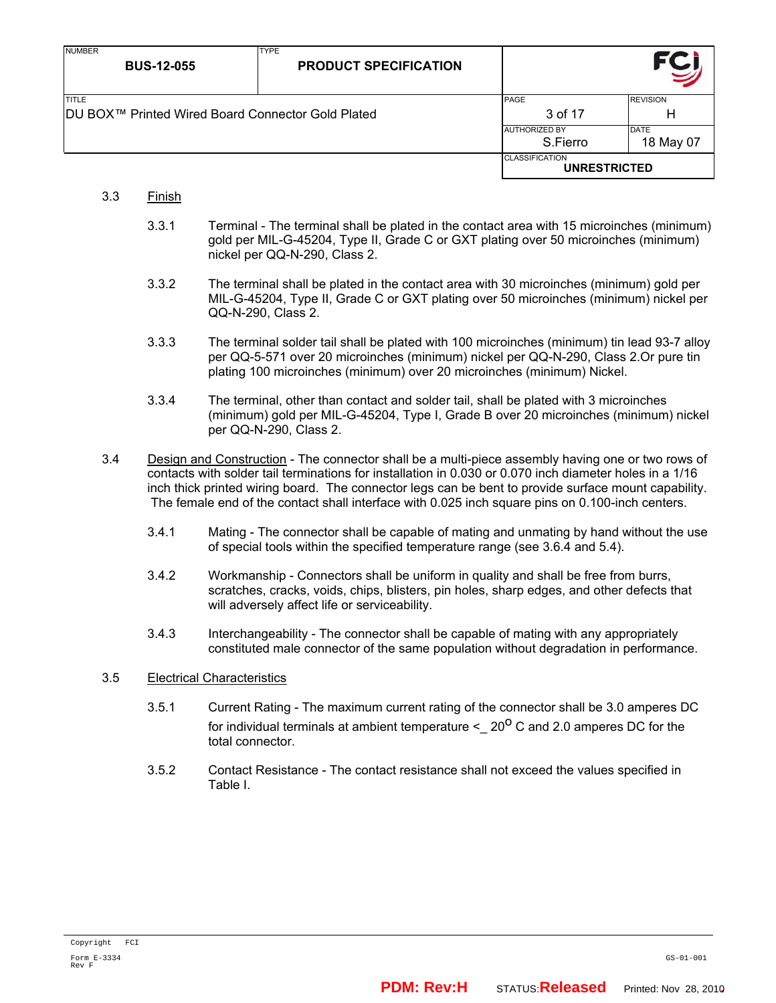| <b>NUMBER</b><br><b>BUS-12-055</b>                | <b>TYPE</b><br><b>PRODUCT SPECIFICATION</b> |                                              |                 |
|---------------------------------------------------|---------------------------------------------|----------------------------------------------|-----------------|
| <b>ITITLE</b>                                     |                                             | <b>PAGE</b>                                  | <b>REVISION</b> |
| DU BOX™ Printed Wired Board Connector Gold Plated |                                             | 3 of 17                                      | Н               |
|                                                   |                                             | <b>AUTHORIZED BY</b>                         | <b>DATE</b>     |
|                                                   |                                             | S.Fierro                                     | 18 May 07       |
|                                                   |                                             | <b>CLASSIFICATION</b><br><b>UNRESTRICTED</b> |                 |

- 3.3 Finish
	- 3.3.1 Terminal The terminal shall be plated in the contact area with 15 microinches (minimum) gold per MIL-G-45204, Type II, Grade C or GXT plating over 50 microinches (minimum) nickel per QQ-N-290, Class 2.
	- 3.3.2 The terminal shall be plated in the contact area with 30 microinches (minimum) gold per MIL-G-45204, Type II, Grade C or GXT plating over 50 microinches (minimum) nickel per QQ-N-290, Class 2.
	- 3.3.3 The terminal solder tail shall be plated with 100 microinches (minimum) tin lead 93-7 alloy per QQ-5-571 over 20 microinches (minimum) nickel per QQ-N-290, Class 2.Or pure tin plating 100 microinches (minimum) over 20 microinches (minimum) Nickel.
	- 3.3.4 The terminal, other than contact and solder tail, shall be plated with 3 microinches (minimum) gold per MIL-G-45204, Type I, Grade B over 20 microinches (minimum) nickel per QQ-N-290, Class 2.
- 3.4 Design and Construction The connector shall be a multi-piece assembly having one or two rows of contacts with solder tail terminations for installation in 0.030 or 0.070 inch diameter holes in a 1/16 inch thick printed wiring board. The connector legs can be bent to provide surface mount capability. The female end of the contact shall interface with 0.025 inch square pins on 0.100-inch centers.
	- 3.4.1 Mating The connector shall be capable of mating and unmating by hand without the use of special tools within the specified temperature range (see 3.6.4 and 5.4).
	- 3.4.2 Workmanship Connectors shall be uniform in quality and shall be free from burrs, scratches, cracks, voids, chips, blisters, pin holes, sharp edges, and other defects that will adversely affect life or serviceability.
	- 3.4.3 Interchangeability The connector shall be capable of mating with any appropriately constituted male connector of the same population without degradation in performance.

## 3.5 Electrical Characteristics

- 3.5.1 Current Rating The maximum current rating of the connector shall be 3.0 amperes DC for individual terminals at ambient temperature  $\leq 20^\circ$  C and 2.0 amperes DC for the total connector.
- 3.5.2 Contact Resistance The contact resistance shall not exceed the values specified in Table I.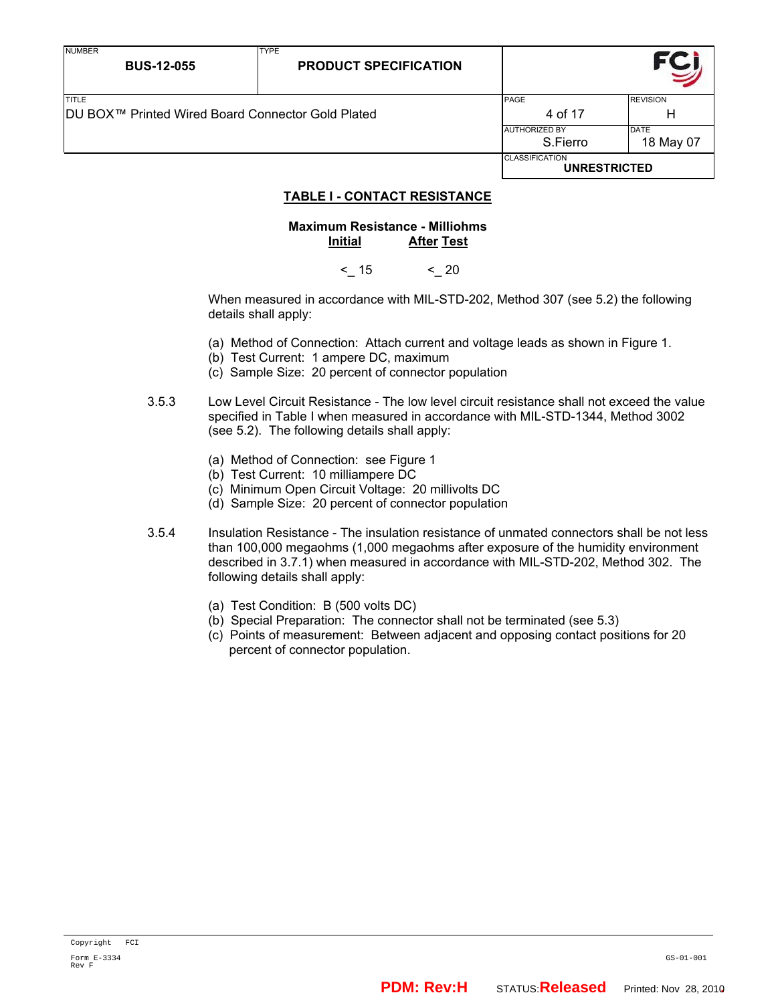| <b>NUMBER</b><br><b>BUS-12-055</b>                 | <b>TYPE</b><br><b>PRODUCT SPECIFICATION</b> |                                              |                 |
|----------------------------------------------------|---------------------------------------------|----------------------------------------------|-----------------|
| <b>TITLE</b>                                       |                                             | PAGE                                         | <b>REVISION</b> |
| IDU BOX™ Printed Wired Board Connector Gold Plated |                                             | 4 of 17                                      | н               |
|                                                    |                                             | <b>AUTHORIZED BY</b>                         | <b>DATE</b>     |
|                                                    |                                             | S.Fierro                                     | 18 May 07       |
|                                                    |                                             | <b>CLASSIFICATION</b><br><b>UNRESTRICTED</b> |                 |

## **TABLE I - CONTACT RESISTANCE**

## **Maximum Resistance - Milliohms Initial After Test**

 $< 15$   $< 20$ 

When measured in accordance with MIL-STD-202, Method 307 (see 5.2) the following details shall apply:

- (a) Method of Connection: Attach current and voltage leads as shown in Figure 1.
- (b) Test Current: 1 ampere DC, maximum
- (c) Sample Size: 20 percent of connector population
- 3.5.3 Low Level Circuit Resistance The low level circuit resistance shall not exceed the value specified in Table I when measured in accordance with MIL-STD-1344, Method 3002 (see 5.2). The following details shall apply:
	- (a) Method of Connection: see Figure 1
	- (b) Test Current: 10 milliampere DC
	- (c) Minimum Open Circuit Voltage: 20 millivolts DC
	- (d) Sample Size: 20 percent of connector population
- 3.5.4 Insulation Resistance The insulation resistance of unmated connectors shall be not less than 100,000 megaohms (1,000 megaohms after exposure of the humidity environment described in 3.7.1) when measured in accordance with MIL-STD-202, Method 302. The following details shall apply:
	- (a) Test Condition: B (500 volts DC)
	- (b) Special Preparation: The connector shall not be terminated (see 5.3)
	- (c) Points of measurement: Between adjacent and opposing contact positions for 20 percent of connector population.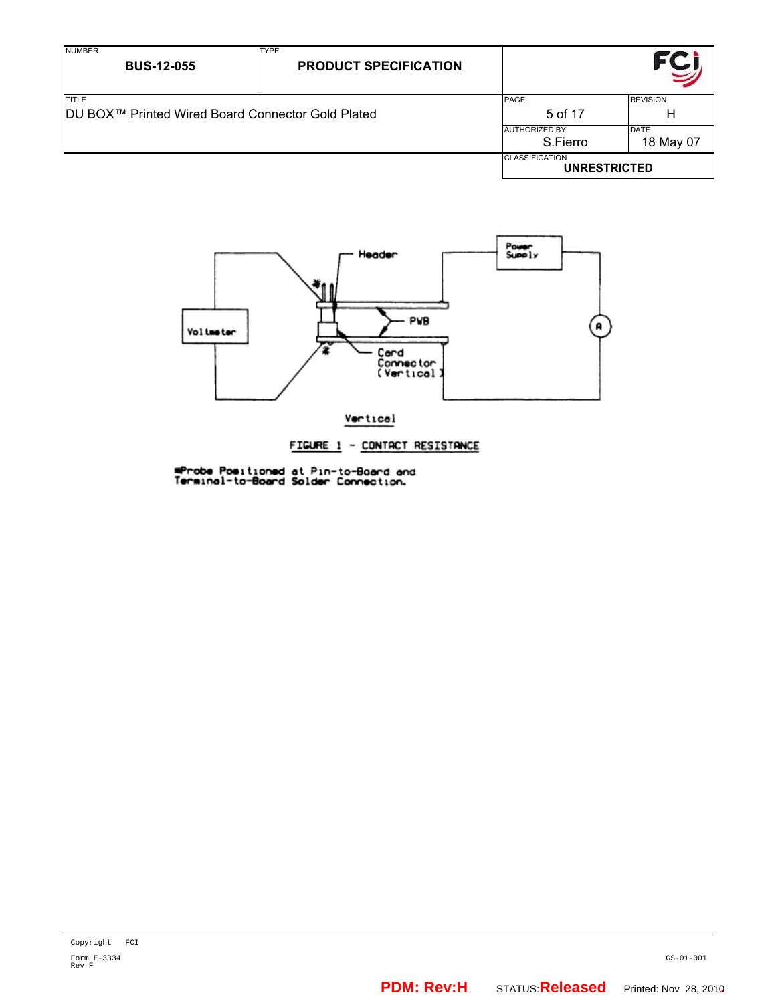| <b>NUMBER</b><br><b>BUS-12-055</b>                                | <b>TYPE</b><br><b>PRODUCT SPECIFICATION</b> |                                              |                          |
|-------------------------------------------------------------------|---------------------------------------------|----------------------------------------------|--------------------------|
| <b>TITLE</b><br>DU BOX™ Printed Wired Board Connector Gold Plated |                                             | <b>PAGE</b><br>5 of 17                       | <b>REVISION</b><br>н     |
|                                                                   |                                             | <b>AUTHORIZED BY</b><br>S.Fierro             | <b>DATE</b><br>18 May 07 |
|                                                                   |                                             | <b>CLASSIFICATION</b><br><b>UNRESTRICTED</b> |                          |



**mProbe Positioned at Pin-to-Board and<br>Terminal-to-Board Solder Connection.**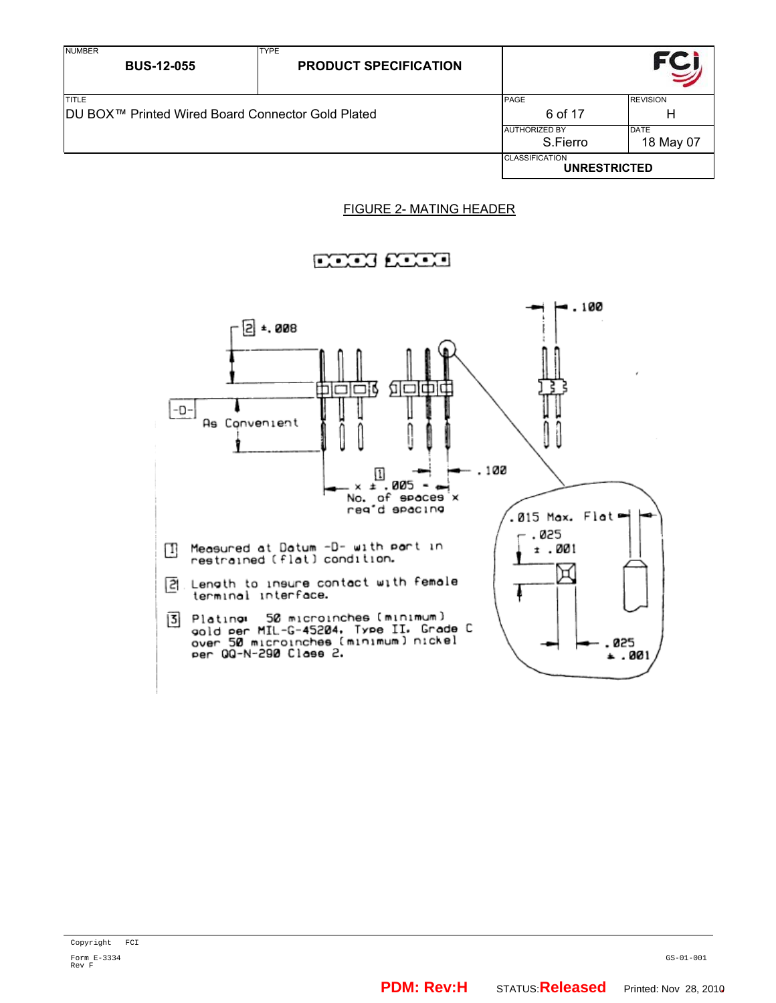| <b>NUMBER</b><br><b>BUS-12-055</b>                                | <b>TYPE</b><br><b>PRODUCT SPECIFICATION</b> |                                              |                          |
|-------------------------------------------------------------------|---------------------------------------------|----------------------------------------------|--------------------------|
| <b>TITLE</b><br>DU BOX™ Printed Wired Board Connector Gold Plated |                                             | PAGE<br>6 of 17                              | <b>REVISION</b><br>H     |
|                                                                   |                                             | <b>AUTHORIZED BY</b><br>S.Fierro             | <b>DATE</b><br>18 May 07 |
|                                                                   |                                             | <b>CLASSIFICATION</b><br><b>UNRESTRICTED</b> |                          |

## FIGURE 2- MATING HEADER

## <u>nawa nawa</u>

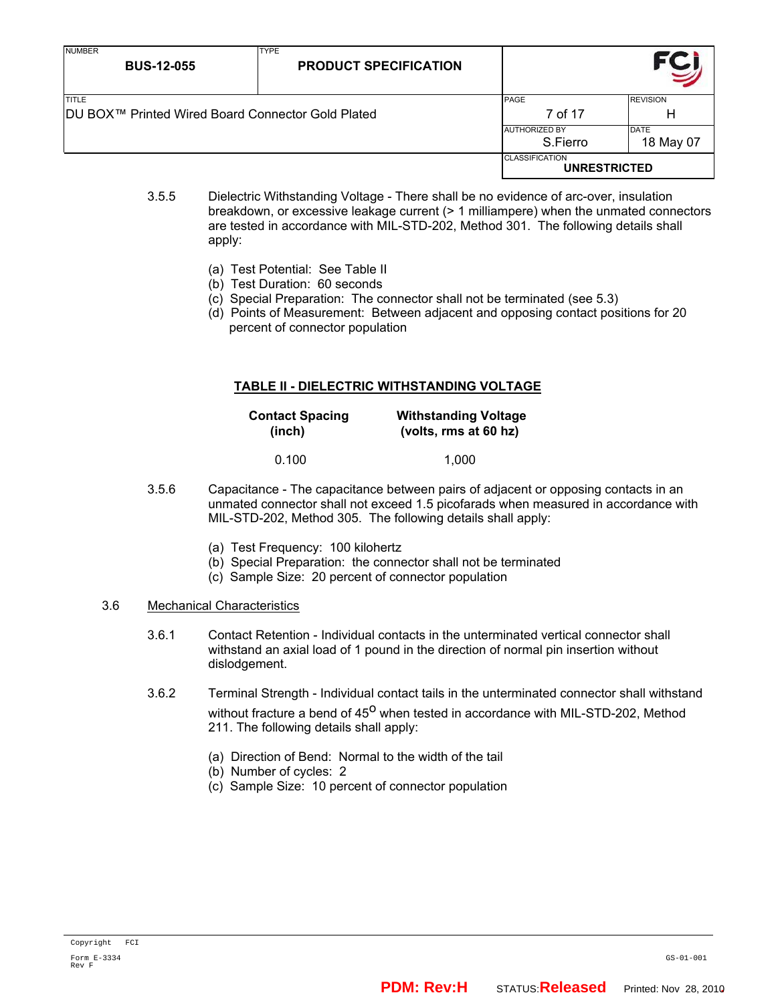| <b>NUMBER</b><br><b>BUS-12-055</b>                                 | <b>TYPE</b><br><b>PRODUCT SPECIFICATION</b> |                                              |                          |
|--------------------------------------------------------------------|---------------------------------------------|----------------------------------------------|--------------------------|
| <b>TITLE</b><br>IDU BOX™ Printed Wired Board Connector Gold Plated |                                             | PAGE<br>7 of 17                              | <b>REVISION</b><br>н     |
|                                                                    |                                             | <b>AUTHORIZED BY</b><br>S.Fierro             | <b>DATE</b><br>18 May 07 |
|                                                                    |                                             | <b>CLASSIFICATION</b><br><b>UNRESTRICTED</b> |                          |

- 3.5.5 Dielectric Withstanding Voltage There shall be no evidence of arc-over, insulation breakdown, or excessive leakage current (> 1 milliampere) when the unmated connectors are tested in accordance with MIL-STD-202, Method 301. The following details shall apply:
	- (a) Test Potential: See Table II
	- (b) Test Duration: 60 seconds
	- (c) Special Preparation: The connector shall not be terminated (see 5.3)
	- (d) Points of Measurement: Between adjacent and opposing contact positions for 20 percent of connector population

## **TABLE II - DIELECTRIC WITHSTANDING VOLTAGE**

| <b>Contact Spacing</b> | <b>Withstanding Voltage</b> |  |
|------------------------|-----------------------------|--|
| (inch)                 | (volts, rms at 60 hz)       |  |
| 0.100                  | 1,000                       |  |

- 3.5.6 Capacitance The capacitance between pairs of adjacent or opposing contacts in an unmated connector shall not exceed 1.5 picofarads when measured in accordance with MIL-STD-202, Method 305. The following details shall apply:
	- (a) Test Frequency: 100 kilohertz
	- (b) Special Preparation: the connector shall not be terminated
	- (c) Sample Size: 20 percent of connector population
- 3.6 Mechanical Characteristics
	- 3.6.1 Contact Retention Individual contacts in the unterminated vertical connector shall withstand an axial load of 1 pound in the direction of normal pin insertion without dislodgement.
	- 3.6.2 Terminal Strength Individual contact tails in the unterminated connector shall withstand without fracture a bend of 45<sup>o</sup> when tested in accordance with MIL-STD-202, Method 211. The following details shall apply:
		- (a) Direction of Bend: Normal to the width of the tail
		- (b) Number of cycles: 2
		- (c) Sample Size: 10 percent of connector population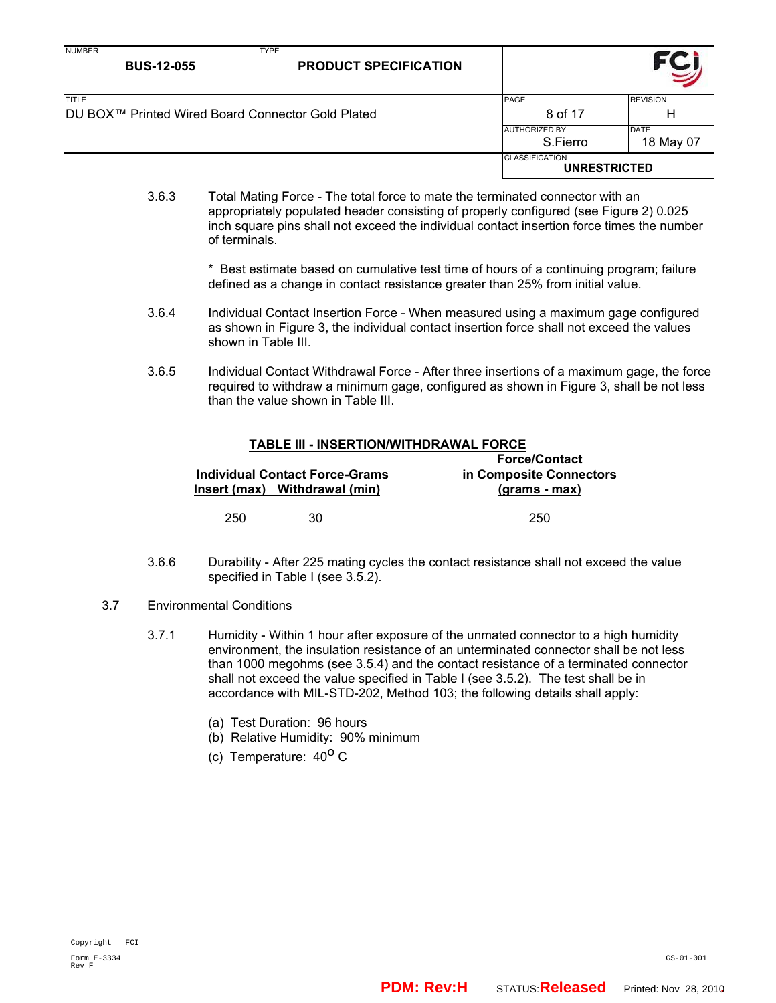| <b>NUMBER</b><br><b>BUS-12-055</b>                                 | <b>TYPE</b><br><b>PRODUCT SPECIFICATION</b> |                                              |                      |
|--------------------------------------------------------------------|---------------------------------------------|----------------------------------------------|----------------------|
| <b>TITLE</b><br>IDU BOX™ Printed Wired Board Connector Gold Plated |                                             | <b>PAGE</b><br>8 of 17                       | <b>REVISION</b><br>н |
|                                                                    |                                             | <b>AUTHORIZED BY</b><br>S.Fierro             | DATE<br>18 May 07    |
|                                                                    |                                             | <b>CLASSIFICATION</b><br><b>UNRESTRICTED</b> |                      |

3.6.3 Total Mating Force - The total force to mate the terminated connector with an appropriately populated header consisting of properly configured (see Figure 2) 0.025 inch square pins shall not exceed the individual contact insertion force times the number of terminals.

> \* Best estimate based on cumulative test time of hours of a continuing program; failure defined as a change in contact resistance greater than 25% from initial value.

- 3.6.4 Individual Contact Insertion Force When measured using a maximum gage configured as shown in Figure 3, the individual contact insertion force shall not exceed the values shown in Table III.
- 3.6.5 Individual Contact Withdrawal Force After three insertions of a maximum gage, the force required to withdraw a minimum gage, configured as shown in Figure 3, shall be not less than the value shown in Table III.

# **TABLE III - INSERTION/WITHDRAWAL FORCE**

|     | <b>Individual Contact Force-Grams</b><br>Insert (max) Withdrawal (min) | <b>Force/Contact</b><br>in Composite Connectors<br><u>(grams - max)</u> |
|-----|------------------------------------------------------------------------|-------------------------------------------------------------------------|
| 250 | 30.                                                                    | 250                                                                     |

- 3.6.6 Durability After 225 mating cycles the contact resistance shall not exceed the value specified in Table I (see 3.5.2).
- 3.7 Environmental Conditions
	- 3.7.1 Humidity Within 1 hour after exposure of the unmated connector to a high humidity environment, the insulation resistance of an unterminated connector shall be not less than 1000 megohms (see 3.5.4) and the contact resistance of a terminated connector shall not exceed the value specified in Table I (see 3.5.2). The test shall be in accordance with MIL-STD-202, Method 103; the following details shall apply:
		- (a) Test Duration: 96 hours
		- (b) Relative Humidity: 90% minimum
		- (c) Temperature:  $40^{\circ}$  C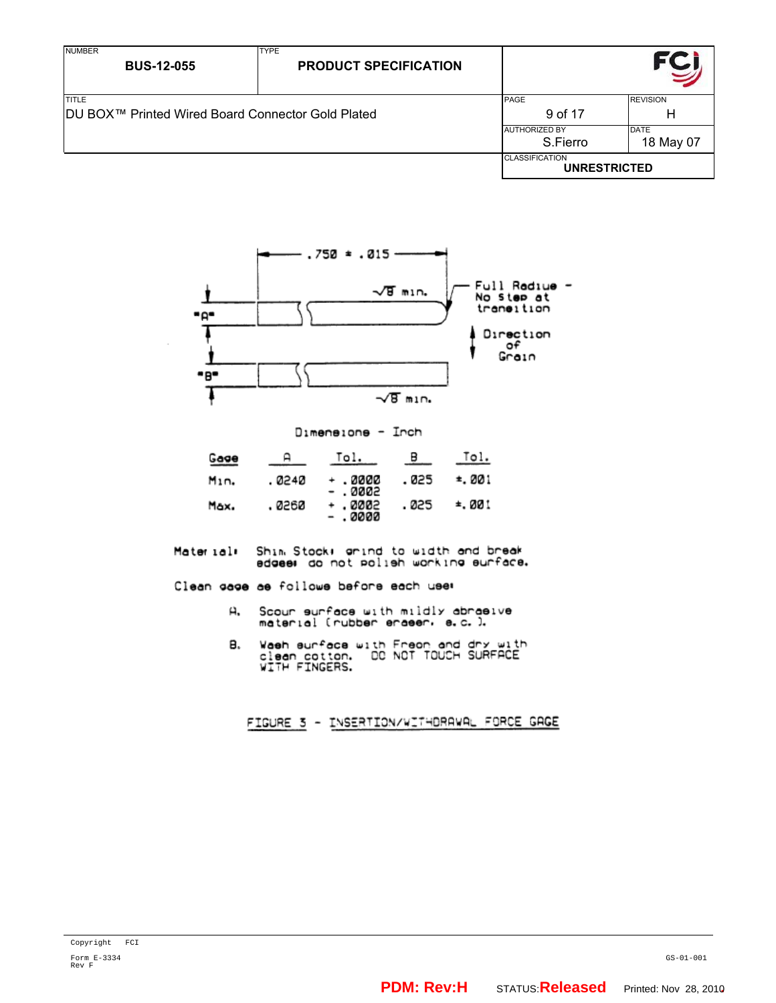| <b>NUMBER</b><br><b>BUS-12-055</b>                                | <b>TYPE</b><br><b>PRODUCT SPECIFICATION</b> |                                              |                          |
|-------------------------------------------------------------------|---------------------------------------------|----------------------------------------------|--------------------------|
| <b>TITLE</b><br>DU BOX™ Printed Wired Board Connector Gold Plated |                                             | PAGE<br>9 of 17                              | <b>REVISION</b><br>н     |
|                                                                   |                                             | <b>AUTHORIZED BY</b><br>S.Fierro             | <b>DATE</b><br>18 May 07 |
|                                                                   |                                             | <b>CLASSIFICATION</b><br><b>UNRESTRICTED</b> |                          |



Dimensions - Inch

| Gage | д      | Tol.                | $\overline{B}$ | Tol.   |
|------|--------|---------------------|----------------|--------|
| Min. | . 0240 | - . 0000<br>- .0002 | . 025          | ≛.001  |
| Max. | . 0260 | - .0002<br>- .0000  | . 025          | ≛. 001 |

Shim Stock) grind to width and break<br>edgee: do not polieh working eurface. Material:

Clean gage as follows before each user

- Scour surface with mildly abraeive<br>material (rubber eraeer, e.c.). д.
- Waeh surface with Freor and dry with<br>clean cotton. DC NOT TOUCH SURFACE<br>WITH FINGERS. в.

FIGURE 3 - INSERTION/WITHDRAWAL FORCE GAGE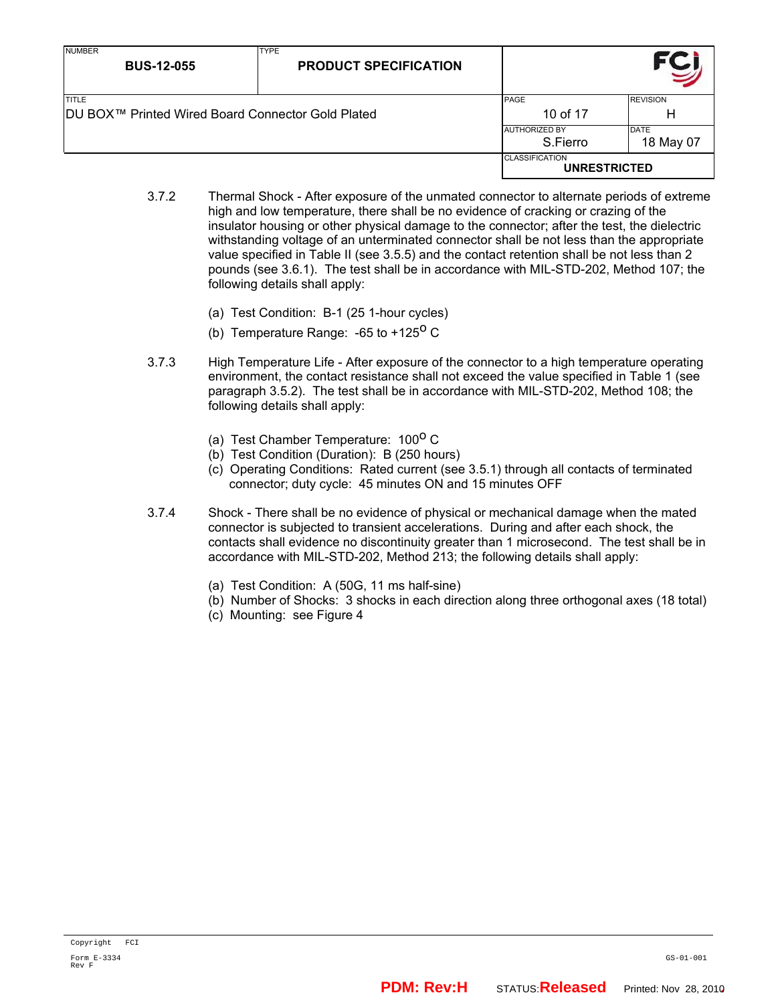| <b>NUMBER</b><br><b>BUS-12-055</b>                                 | <b>TYPE</b><br><b>PRODUCT SPECIFICATION</b> |                                              |                      |
|--------------------------------------------------------------------|---------------------------------------------|----------------------------------------------|----------------------|
| <b>TITLE</b><br> DU BOX™ Printed Wired Board Connector Gold Plated |                                             | PAGE<br>10 of 17                             | <b>REVISION</b><br>н |
|                                                                    |                                             | <b>AUTHORIZED BY</b><br>S.Fierro             | DATE<br>18 May 07    |
|                                                                    |                                             | <b>CLASSIFICATION</b><br><b>UNRESTRICTED</b> |                      |

- 3.7.2 Thermal Shock After exposure of the unmated connector to alternate periods of extreme high and low temperature, there shall be no evidence of cracking or crazing of the insulator housing or other physical damage to the connector; after the test, the dielectric withstanding voltage of an unterminated connector shall be not less than the appropriate value specified in Table II (see 3.5.5) and the contact retention shall be not less than 2 pounds (see 3.6.1). The test shall be in accordance with MIL-STD-202, Method 107; the following details shall apply:
	- (a) Test Condition: B-1 (25 1-hour cycles)
	- (b) Temperature Range:  $-65$  to  $+125^{\circ}$  C
- 3.7.3 High Temperature Life After exposure of the connector to a high temperature operating environment, the contact resistance shall not exceed the value specified in Table 1 (see paragraph 3.5.2). The test shall be in accordance with MIL-STD-202, Method 108; the following details shall apply:
	- (a) Test Chamber Temperature:  $100^{\circ}$  C
	- (b) Test Condition (Duration): B (250 hours)
	- (c) Operating Conditions: Rated current (see 3.5.1) through all contacts of terminated connector; duty cycle: 45 minutes ON and 15 minutes OFF
- 3.7.4 Shock There shall be no evidence of physical or mechanical damage when the mated connector is subjected to transient accelerations. During and after each shock, the contacts shall evidence no discontinuity greater than 1 microsecond. The test shall be in accordance with MIL-STD-202, Method 213; the following details shall apply:
	- (a) Test Condition: A (50G, 11 ms half-sine)
	- (b) Number of Shocks: 3 shocks in each direction along three orthogonal axes (18 total)
	- (c) Mounting: see Figure 4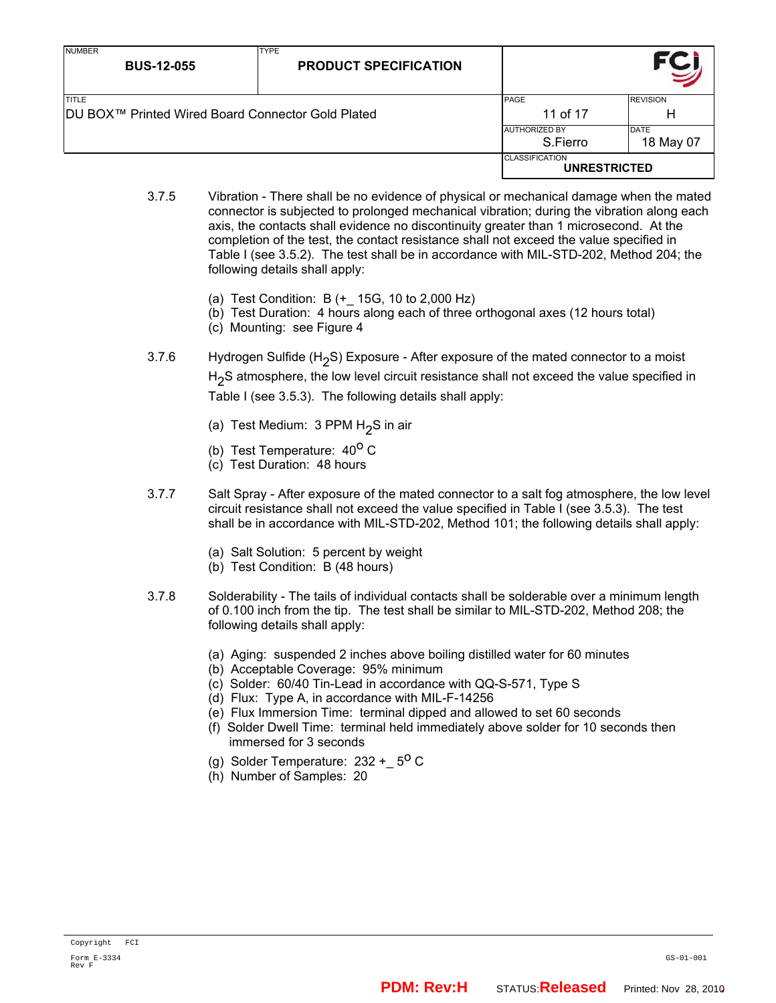| <b>NUMBER</b><br><b>BUS-12-055</b>                                             | <b>TYPE</b><br><b>PRODUCT SPECIFICATION</b> |                                              |                          |
|--------------------------------------------------------------------------------|---------------------------------------------|----------------------------------------------|--------------------------|
| <b>ITITLE</b><br>DU BOX <sup>™</sup> Printed Wired Board Connector Gold Plated |                                             | <b>PAGE</b><br>11 of 17                      | <b>REVISION</b><br>н     |
|                                                                                |                                             | <b>AUTHORIZED BY</b><br>S.Fierro             | <b>DATE</b><br>18 May 07 |
|                                                                                |                                             | <b>CLASSIFICATION</b><br><b>UNRESTRICTED</b> |                          |

- 3.7.5 Vibration There shall be no evidence of physical or mechanical damage when the mated connector is subjected to prolonged mechanical vibration; during the vibration along each axis, the contacts shall evidence no discontinuity greater than 1 microsecond. At the completion of the test, the contact resistance shall not exceed the value specified in Table I (see 3.5.2). The test shall be in accordance with MIL-STD-202, Method 204; the following details shall apply:
	- (a) Test Condition: B (+\_ 15G, 10 to 2,000 Hz)
	- (b) Test Duration: 4 hours along each of three orthogonal axes (12 hours total)
	- (c) Mounting: see Figure 4
- 3.7.6 Hydrogen Sulfide (H<sub>2</sub>S) Exposure After exposure of the mated connector to a moist H<sub>2</sub>S atmosphere, the low level circuit resistance shall not exceed the value specified in Table I (see 3.5.3). The following details shall apply:
	- (a) Test Medium:  $3$  PPM H<sub>2</sub>S in air
	- (b) Test Temperature:  $40^{\circ}$  C
	- (c) Test Duration: 48 hours
- 3.7.7 Salt Spray After exposure of the mated connector to a salt fog atmosphere, the low level circuit resistance shall not exceed the value specified in Table I (see 3.5.3). The test shall be in accordance with MIL-STD-202, Method 101; the following details shall apply:
	- (a) Salt Solution: 5 percent by weight
	- (b) Test Condition: B (48 hours)
- 3.7.8 Solderability The tails of individual contacts shall be solderable over a minimum length of 0.100 inch from the tip. The test shall be similar to MIL-STD-202, Method 208; the following details shall apply:
	- (a) Aging: suspended 2 inches above boiling distilled water for 60 minutes
	- (b) Acceptable Coverage: 95% minimum
	- (c) Solder: 60/40 Tin-Lead in accordance with QQ-S-571, Type S
	- (d) Flux: Type A, in accordance with MIL-F-14256
	- (e) Flux Immersion Time: terminal dipped and allowed to set 60 seconds
	- (f) Solder Dwell Time: terminal held immediately above solder for 10 seconds then immersed for 3 seconds
	- (g) Solder Temperature:  $232 + 5^{\circ}$  C
	- (h) Number of Samples: 20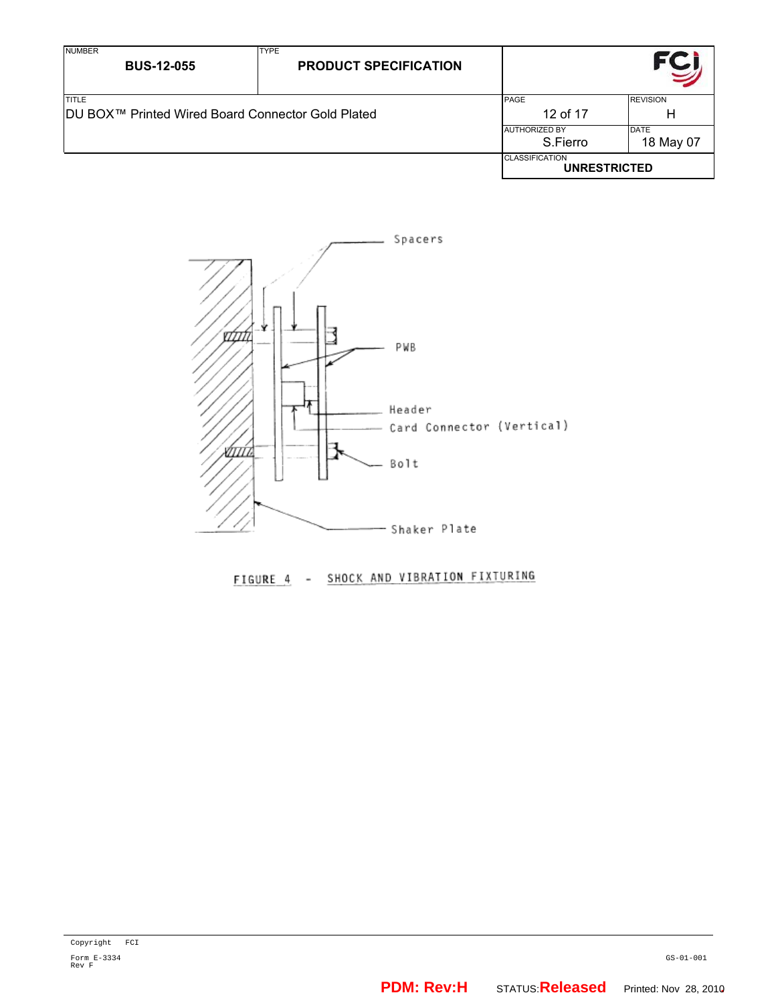| <b>NUMBER</b><br><b>BUS-12-055</b>                       | <b>TYPE</b><br><b>PRODUCT SPECIFICATION</b> |                                              |                 |
|----------------------------------------------------------|---------------------------------------------|----------------------------------------------|-----------------|
| <b>TITLE</b>                                             |                                             | PAGE                                         | <b>REVISION</b> |
| <b>DU BOX™ Printed Wired Board Connector Gold Plated</b> |                                             | 12 of 17                                     | н               |
|                                                          |                                             | <b>AUTHORIZED BY</b>                         | <b>DATE</b>     |
|                                                          |                                             | S.Fierro                                     | 18 May 07       |
|                                                          |                                             | <b>CLASSIFICATION</b><br><b>UNRESTRICTED</b> |                 |



SHOCK AND VIBRATION FIXTURING  $FIGURE 4 -$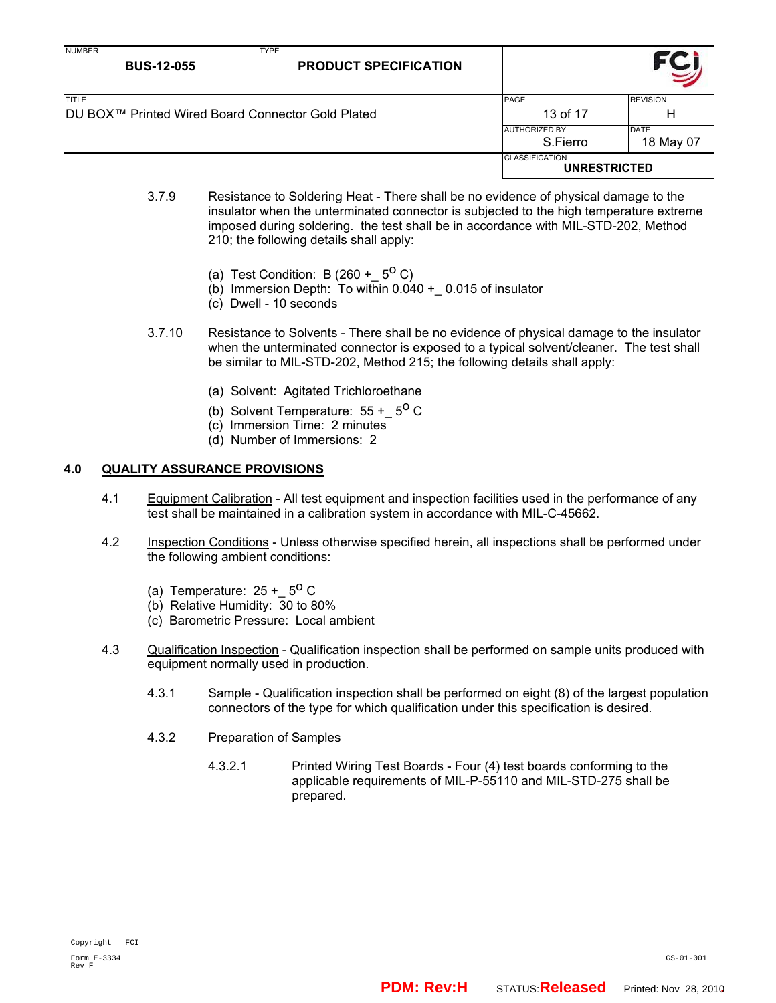| <b>NUMBER</b><br><b>BUS-12-055</b>                                       | <b>TYPE</b><br><b>PRODUCT SPECIFICATION</b> |                                              |                          |
|--------------------------------------------------------------------------|---------------------------------------------|----------------------------------------------|--------------------------|
| <b>TITLE</b><br><b>DU BOX™ Printed Wired Board Connector Gold Plated</b> |                                             | PAGE<br>13 of 17                             | <b>REVISION</b><br>Н     |
|                                                                          |                                             | <b>AUTHORIZED BY</b><br>S.Fierro             | <b>DATE</b><br>18 May 07 |
|                                                                          |                                             | <b>CLASSIFICATION</b><br><b>UNRESTRICTED</b> |                          |

- 3.7.9 Resistance to Soldering Heat There shall be no evidence of physical damage to the insulator when the unterminated connector is subjected to the high temperature extreme imposed during soldering. the test shall be in accordance with MIL-STD-202, Method 210; the following details shall apply:
	- (a) Test Condition: B  $(260 + 5^{\circ} C)$
	- (b) Immersion Depth: To within  $0.040 + 0.015$  of insulator
	- (c) Dwell 10 seconds
- 3.7.10 Resistance to Solvents There shall be no evidence of physical damage to the insulator when the unterminated connector is exposed to a typical solvent/cleaner. The test shall be similar to MIL-STD-202, Method 215; the following details shall apply:
	- (a) Solvent: Agitated Trichloroethane
	- (b) Solvent Temperature:  $55 + 5^{\circ}$  C
	- (c) Immersion Time: 2 minutes
	- (d) Number of Immersions: 2

## **4.0 QUALITY ASSURANCE PROVISIONS**

- 4.1 Equipment Calibration All test equipment and inspection facilities used in the performance of any test shall be maintained in a calibration system in accordance with MIL-C-45662.
- 4.2 Inspection Conditions Unless otherwise specified herein, all inspections shall be performed under the following ambient conditions:
	- (a) Temperature:  $25 + 5^{\circ}$  C
	- (b) Relative Humidity: 30 to 80%
	- (c) Barometric Pressure: Local ambient
- 4.3 Qualification Inspection Qualification inspection shall be performed on sample units produced with equipment normally used in production.
	- 4.3.1 Sample Qualification inspection shall be performed on eight (8) of the largest population connectors of the type for which qualification under this specification is desired.
	- 4.3.2 Preparation of Samples
		- 4.3.2.1 Printed Wiring Test Boards Four (4) test boards conforming to the applicable requirements of MIL-P-55110 and MIL-STD-275 shall be prepared.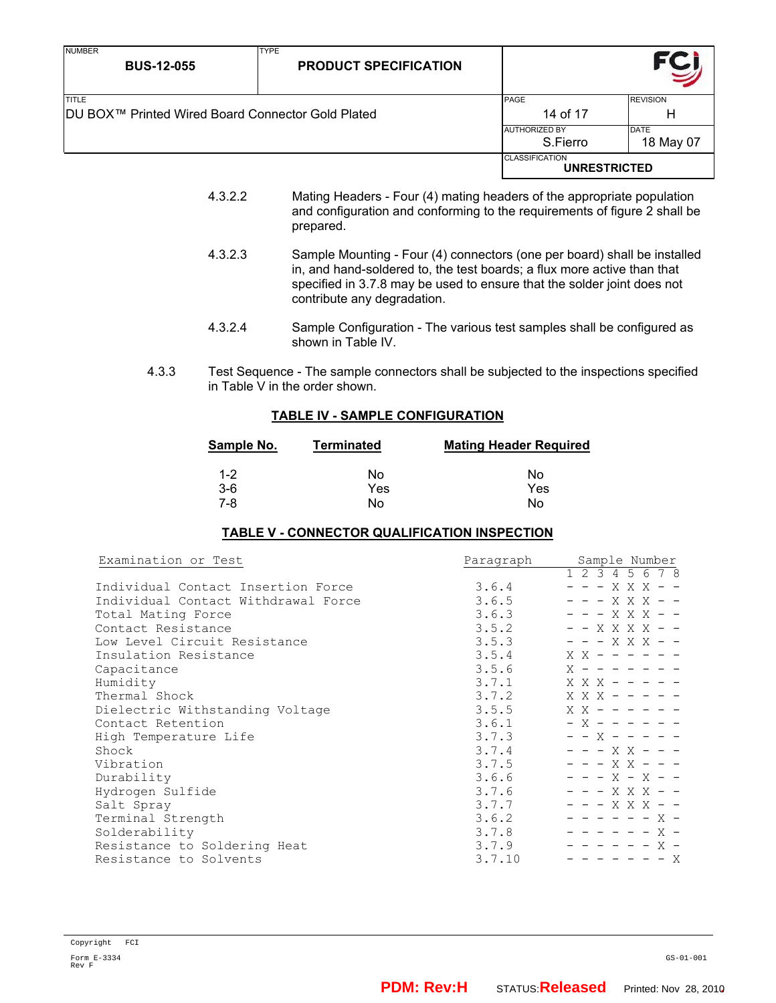| <b>NUMBER</b><br><b>BUS-12-055</b>                | <b>TYPE</b><br><b>PRODUCT SPECIFICATION</b> |                                              |                 |
|---------------------------------------------------|---------------------------------------------|----------------------------------------------|-----------------|
| <b>TITLE</b>                                      |                                             | <b>PAGE</b>                                  | <b>REVISION</b> |
| DU BOX™ Printed Wired Board Connector Gold Plated |                                             | 14 of 17                                     | н               |
|                                                   |                                             | <b>AUTHORIZED BY</b>                         | <b>DATE</b>     |
|                                                   |                                             | S.Fierro                                     | 18 May 07       |
|                                                   |                                             | <b>CLASSIFICATION</b><br><b>UNRESTRICTED</b> |                 |

- 4.3.2.2 Mating Headers Four (4) mating headers of the appropriate population and configuration and conforming to the requirements of figure 2 shall be prepared.
- 4.3.2.3 Sample Mounting Four (4) connectors (one per board) shall be installed in, and hand-soldered to, the test boards; a flux more active than that specified in 3.7.8 may be used to ensure that the solder joint does not contribute any degradation.
- 4.3.2.4 Sample Configuration The various test samples shall be configured as shown in Table IV.
- 4.3.3 Test Sequence The sample connectors shall be subjected to the inspections specified in Table V in the order shown.

## **TABLE IV - SAMPLE CONFIGURATION**

| Sample No. | <b>Terminated</b> | <b>Mating Header Required</b> |
|------------|-------------------|-------------------------------|
| $1 - 2$    | No                | No                            |
| $3-6$      | Yes               | Yes                           |
| 7-8        | No                | No                            |

## **TABLE V - CONNECTOR QUALIFICATION INSPECTION**

| Examination or Test                 | Paragraph | Sample Number       |
|-------------------------------------|-----------|---------------------|
|                                     |           | 1 2 3 4 5 6 7 8     |
| Individual Contact Insertion Force  | 3.6.4     | - - - X X X - -     |
| Individual Contact Withdrawal Force | 3.6.5     | - - - X X X - -     |
| Total Mating Force                  | 3.6.3     | - - - X X X - -     |
| Contact Resistance                  | 3.5.2     | - - X X X X - -     |
| Low Level Circuit Resistance        | 3.5.3     | - - - X X X - -     |
| Insulation Resistance               | 3.5.4     | $X$ X - - - - - -   |
| Capacitance                         | 3.5.6     | $X - - - - - - - -$ |
| Humidity                            | 3.7.1     | $X$ X X - - - - -   |
| Thermal Shock                       | 3.7.2     | $X$ X X - - - - -   |
| Dielectric Withstanding Voltage     | 3.5.5     | $X$ X - - - - - -   |
| Contact Retention                   | 3.6.1     | $- X - - - - - -$   |
| High Temperature Life               | 3.7.3     | $-$ - X - - - - -   |
| Shock                               | 3.7.4     | - - - X X - - -     |
| Vibration                           | 3.7.5     | $- - - X X - - -$   |
| Durability                          | 3.6.6     | - - - x - x - -     |
| Hydrogen Sulfide                    | 3.7.6     | - - - X X X - -     |
| Salt Spray                          | 3.7.7     | - - - X X X - -     |
| Terminal Strength                   | 3.6.2     | - - - - - - X -     |
| Solderability                       | 3.7.8     | $-$ - - - - - X -   |
| Resistance to Soldering Heat        | 3.7.9     | - - - - - - X -     |
| Resistance to Solvents              | 3.7.10    | $- - - - - - - X$   |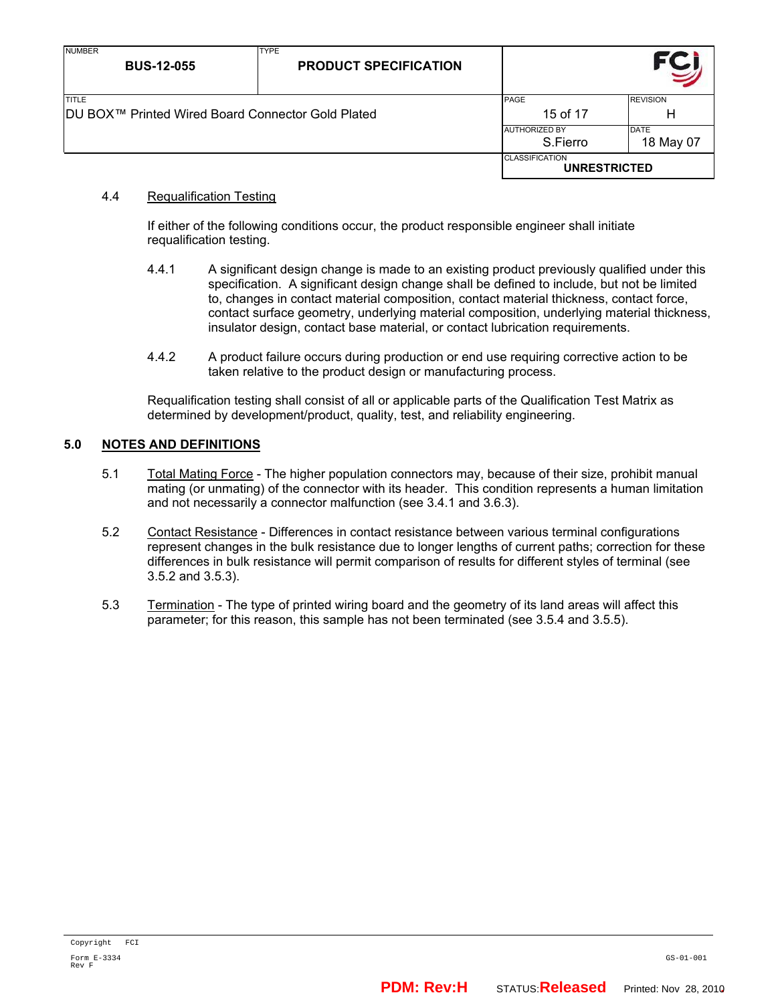| <b>NUMBER</b><br><b>BUS-12-055</b>                       | <b>TYPE</b><br><b>PRODUCT SPECIFICATION</b> |                                              |                          |
|----------------------------------------------------------|---------------------------------------------|----------------------------------------------|--------------------------|
| <b>TITLE</b>                                             |                                             | <b>REVISION</b><br><b>PAGE</b>               |                          |
| <b>DU BOX™ Printed Wired Board Connector Gold Plated</b> |                                             | 15 of 17                                     | Н                        |
|                                                          |                                             | <b>AUTHORIZED BY</b><br>S.Fierro             | <b>DATE</b><br>18 May 07 |
|                                                          |                                             | <b>CLASSIFICATION</b><br><b>UNRESTRICTED</b> |                          |

## 4.4 Requalification Testing

If either of the following conditions occur, the product responsible engineer shall initiate requalification testing.

- 4.4.1 A significant design change is made to an existing product previously qualified under this specification. A significant design change shall be defined to include, but not be limited to, changes in contact material composition, contact material thickness, contact force, contact surface geometry, underlying material composition, underlying material thickness, insulator design, contact base material, or contact lubrication requirements.
- 4.4.2 A product failure occurs during production or end use requiring corrective action to be taken relative to the product design or manufacturing process.

Requalification testing shall consist of all or applicable parts of the Qualification Test Matrix as determined by development/product, quality, test, and reliability engineering.

## **5.0 NOTES AND DEFINITIONS**

- 5.1 Total Mating Force The higher population connectors may, because of their size, prohibit manual mating (or unmating) of the connector with its header. This condition represents a human limitation and not necessarily a connector malfunction (see 3.4.1 and 3.6.3).
- 5.2 Contact Resistance Differences in contact resistance between various terminal configurations represent changes in the bulk resistance due to longer lengths of current paths; correction for these differences in bulk resistance will permit comparison of results for different styles of terminal (see 3.5.2 and 3.5.3).
- 5.3 Termination The type of printed wiring board and the geometry of its land areas will affect this parameter; for this reason, this sample has not been terminated (see 3.5.4 and 3.5.5).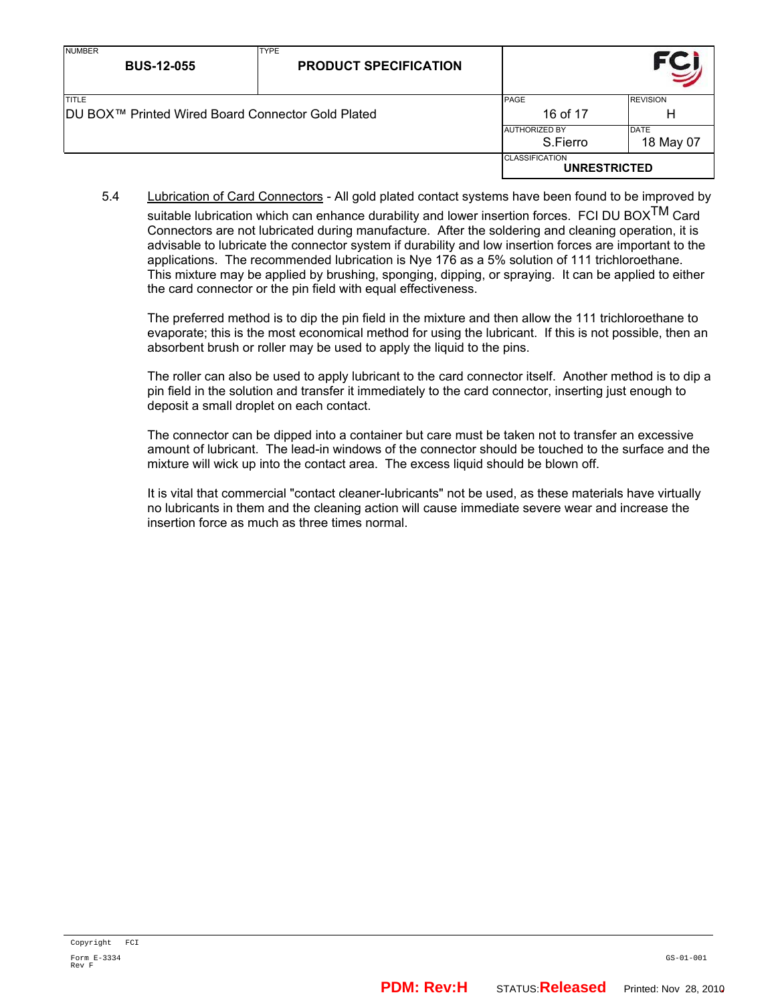| <b>NUMBER</b><br><b>BUS-12-055</b>                                 | <b>TYPE</b><br><b>PRODUCT SPECIFICATION</b> |                                              |                      |
|--------------------------------------------------------------------|---------------------------------------------|----------------------------------------------|----------------------|
| <b>TITLE</b><br>IDU BOX™ Printed Wired Board Connector Gold Plated |                                             | PAGE<br>16 of 17                             | <b>REVISION</b><br>Н |
|                                                                    |                                             | <b>AUTHORIZED BY</b><br>S.Fierro             | DATE<br>18 May 07    |
|                                                                    |                                             | <b>CLASSIFICATION</b><br><b>UNRESTRICTED</b> |                      |

5.4 Lubrication of Card Connectors - All gold plated contact systems have been found to be improved by suitable lubrication which can enhance durability and lower insertion forces. FCI DU BOX $^{TM}$  Card Connectors are not lubricated during manufacture. After the soldering and cleaning operation, it is advisable to lubricate the connector system if durability and low insertion forces are important to the applications. The recommended lubrication is Nye 176 as a 5% solution of 111 trichloroethane. This mixture may be applied by brushing, sponging, dipping, or spraying. It can be applied to either the card connector or the pin field with equal effectiveness.

The preferred method is to dip the pin field in the mixture and then allow the 111 trichloroethane to evaporate; this is the most economical method for using the lubricant. If this is not possible, then an absorbent brush or roller may be used to apply the liquid to the pins.

The roller can also be used to apply lubricant to the card connector itself. Another method is to dip a pin field in the solution and transfer it immediately to the card connector, inserting just enough to deposit a small droplet on each contact.

The connector can be dipped into a container but care must be taken not to transfer an excessive amount of lubricant. The lead-in windows of the connector should be touched to the surface and the mixture will wick up into the contact area. The excess liquid should be blown off.

It is vital that commercial "contact cleaner-lubricants" not be used, as these materials have virtually no lubricants in them and the cleaning action will cause immediate severe wear and increase the insertion force as much as three times normal.